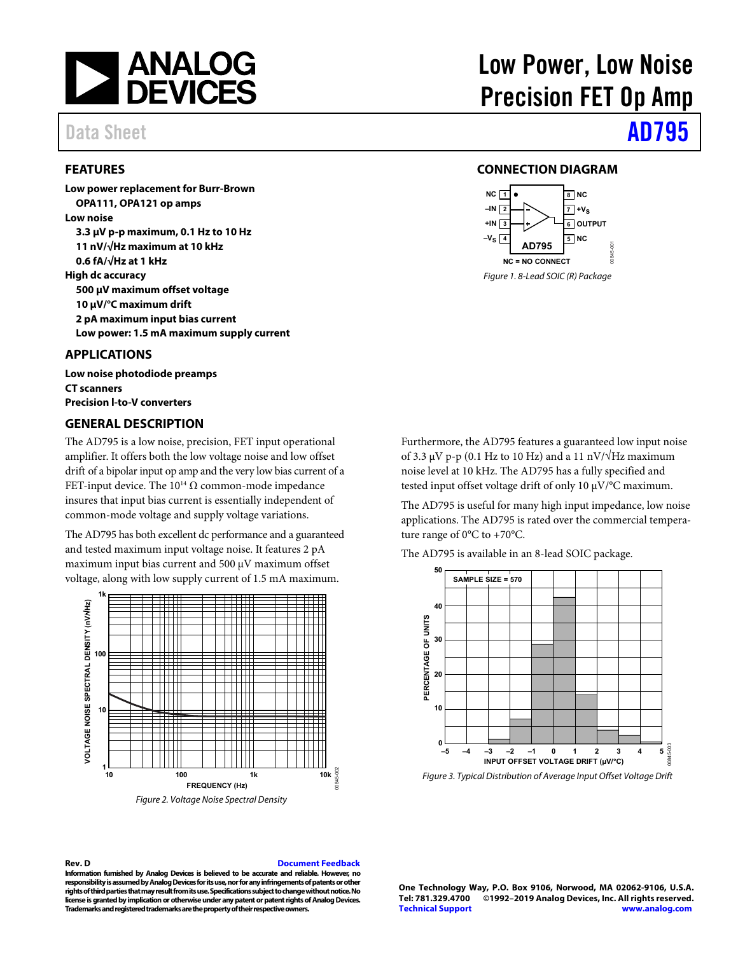

# Data Sheet **[AD795](https://www.analog.com/AD795?doc=AD795.pdf)**

## <span id="page-0-0"></span>**FEATURES**

**Low power replacement for Burr-Brown OPA111, OPA121 op amps Low noise 3.3 μV p-p maximum, 0.1 Hz to 10 Hz 11 nV/√Hz maximum at 10 kHz 0.6 fA/√Hz at 1 kHz High dc accuracy 500 μV maximum offset voltage 10 μV/°C maximum drift 2 pA maximum input bias current Low power: 1.5 mA maximum supply current** 

### <span id="page-0-1"></span>**APPLICATIONS**

**Low noise photodiode preamps CT scanners Precision l-to-V converters** 

### <span id="page-0-3"></span>**GENERAL DESCRIPTION**

The AD795 is a low noise, precision, FET input operational amplifier. It offers both the low voltage noise and low offset drift of a bipolar input op amp and the very low bias current of a FET-input device. The  $10^{14}$  Ω common-mode impedance insures that input bias current is essentially independent of common-mode voltage and supply voltage variations.

The AD795 has both excellent dc performance and a guaranteed and tested maximum input voltage noise. It features 2 pA maximum input bias current and 500 μV maximum offset voltage, along with low supply current of 1.5 mA maximum.



# Low Power, Low Noise Precision FET Op Amp

### **CONNECTION DIAGRAM**

<span id="page-0-2"></span>

Furthermore, the AD795 features a guaranteed low input noise of 3.3 μV p-p (0.1 Hz to 10 Hz) and a 11 nV/ $\sqrt{Hz}$  maximum noise level at 10 kHz. The AD795 has a fully specified and tested input offset voltage drift of only 10 μV/°C maximum.

The AD795 is useful for many high input impedance, low noise applications. The AD795 is rated over the commercial temperature range of 0°C to +70°C.

The AD795 is available in an 8-lead SOIC package.



Figure 3. Typical Distribution of Average Input Offset Voltage Drift

**Rev. D [Document Feedback](https://form.analog.com/Form_Pages/feedback/documentfeedback.aspx?doc=AD795.pdf&product=AD795&rev=D)** 

**Information furnished by Analog Devices is believed to be accurate and reliable. However, no responsibility is assumed by Analog Devices for its use, nor for any infringements of patents or other rights of third parties that may result from its use. Specifications subject to change without notice. No license is granted by implication or otherwise under any patent or patent rights of Analog Devices. Trademarks and registered trademarks are the property of their respective owners.** 

**One Technology Way, P.O. Box 9106, Norwood, MA 02062-9106, U.S.A.** ©1992-2019 Analog Devices, Inc. All rights reserved. **[Technical Support](http://www.analog.com/en/content/technical_support_page/fca.html) [www.analog.com](http://www.analog.com/)**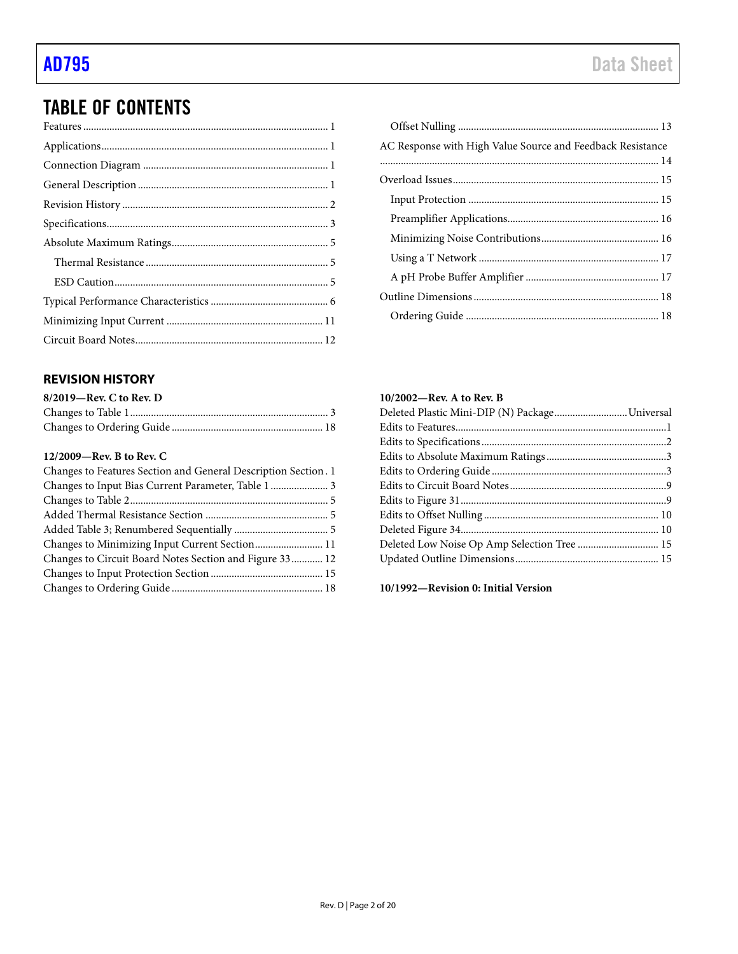# TABLE OF CONTENTS

## <span id="page-1-0"></span>**REVISION HISTORY**

| $8/2019$ —Rev. C to Rev. D |  |
|----------------------------|--|
|                            |  |
|                            |  |

### **12/2009—Rev. B to Rev. C**

| Changes to Features Section and General Description Section. 1 |  |
|----------------------------------------------------------------|--|
| Changes to Input Bias Current Parameter, Table 1  3            |  |
|                                                                |  |
|                                                                |  |
|                                                                |  |
| Changes to Minimizing Input Current Section 11                 |  |
| Changes to Circuit Board Notes Section and Figure 33 12        |  |
|                                                                |  |
|                                                                |  |

| AC Response with High Value Source and Feedback Resistance |  |
|------------------------------------------------------------|--|
|                                                            |  |
|                                                            |  |
|                                                            |  |
|                                                            |  |
|                                                            |  |
|                                                            |  |
|                                                            |  |
|                                                            |  |
|                                                            |  |
|                                                            |  |

## **10/2002—Rev. A to Rev. B**

| Deleted Plastic Mini-DIP (N) PackageUniversal |  |
|-----------------------------------------------|--|
|                                               |  |
|                                               |  |
|                                               |  |
|                                               |  |
|                                               |  |
|                                               |  |
|                                               |  |
|                                               |  |
| Deleted Low Noise Op Amp Selection Tree  15   |  |
|                                               |  |
|                                               |  |

**10/1992—Revision 0: Initial Version**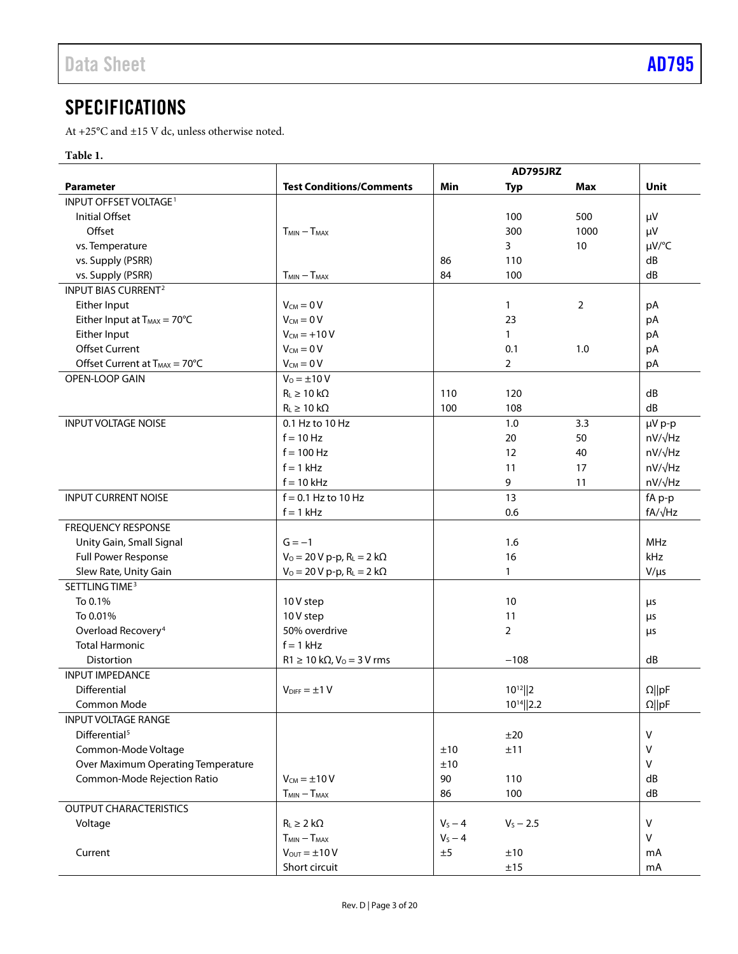# <span id="page-2-0"></span>**SPECIFICATIONS**

At +25°C and  $\pm 15$  V dc, unless otherwise noted.

## **Table 1.**

|                                           |                                          | AD795JRZ  |                 |      |                |
|-------------------------------------------|------------------------------------------|-----------|-----------------|------|----------------|
| <b>Parameter</b>                          | <b>Test Conditions/Comments</b>          | Min       | Typ             | Max  | Unit           |
| INPUT OFFSET VOLTAGE <sup>1</sup>         |                                          |           |                 |      |                |
| Initial Offset                            |                                          |           | 100             | 500  | μV             |
| Offset                                    | $T_{MIN} - T_{MAX}$                      |           | 300             | 1000 | μV             |
| vs. Temperature                           |                                          |           | 3               | 10   | µV/°C          |
| vs. Supply (PSRR)                         |                                          | 86        | 110             |      | dB             |
| vs. Supply (PSRR)                         | $T_{MIN} - T_{MAX}$                      | 84        | 100             |      | dB             |
| <b>INPUT BIAS CURRENT<sup>2</sup></b>     |                                          |           |                 |      |                |
| Either Input                              | $V_{CM} = 0 V$                           |           | $\mathbf{1}$    | 2    | pA             |
| Either Input at $T_{MAX} = 70^{\circ}C$   | $V_{CM} = 0 V$                           |           | 23              |      | pA             |
| Either Input                              | $V_{CM} = +10 V$                         |           | $\mathbf{1}$    |      | pA             |
| <b>Offset Current</b>                     | $V_{CM} = 0 V$                           |           | 0.1             | 1.0  | pA             |
| Offset Current at $T_{MAX} = 70^{\circ}C$ | $V_{CM} = 0 V$                           |           | $\overline{2}$  |      | pA             |
| OPEN-LOOP GAIN                            | $V_0 = \pm 10 V$                         |           |                 |      |                |
|                                           | $R_L \geq 10 k\Omega$                    | 110       | 120             |      | dB             |
|                                           | $R_L \geq 10 k\Omega$                    | 100       | 108             |      | dB             |
| <b>INPUT VOLTAGE NOISE</b>                | 0.1 Hz to 10 Hz                          |           | 1.0             | 3.3  | µV p-p         |
|                                           | $f = 10$ Hz                              |           | 20              | 50   | $nV/\sqrt{Hz}$ |
|                                           | $f = 100$ Hz                             |           | 12              | 40   | $nV/\sqrt{Hz}$ |
|                                           | $f = 1$ kHz                              |           | 11              | 17   | $nV/\sqrt{Hz}$ |
|                                           | $f = 10$ kHz                             |           | 9               | 11   | nV/√Hz         |
| <b>INPUT CURRENT NOISE</b>                | $f = 0.1$ Hz to 10 Hz                    |           | 13              |      | fA p-p         |
|                                           | $f = 1$ kHz                              |           | 0.6             |      | fA/√Hz         |
| <b>FREQUENCY RESPONSE</b>                 |                                          |           |                 |      |                |
| Unity Gain, Small Signal                  | $G = -1$                                 |           | 1.6             |      | <b>MHz</b>     |
| Full Power Response                       | $V_0 = 20 V p - p$ , $R_L = 2 k\Omega$   |           | 16              |      | kHz            |
| Slew Rate, Unity Gain                     | $V_0 = 20 V p - p$ , $R_L = 2 k\Omega$   |           | $\mathbf{1}$    |      | $V/\mu s$      |
| SETTLING TIME <sup>3</sup>                |                                          |           |                 |      |                |
| To 0.1%                                   | 10 V step                                |           | 10              |      | μs             |
| To 0.01%                                  | 10V step                                 |           | 11              |      |                |
| Overload Recovery <sup>4</sup>            | 50% overdrive                            |           | $\overline{2}$  |      | μs             |
| <b>Total Harmonic</b>                     | $f = 1$ kHz                              |           |                 |      | μs             |
| Distortion                                | $R1 \ge 10$ k $\Omega$ , $V_0 = 3$ V rms |           | $-108$          |      | dB             |
| <b>INPUT IMPEDANCE</b>                    |                                          |           |                 |      |                |
| Differential                              | $V_{\text{DIFF}} = \pm 1 V$              |           | $10^{12}$   2   |      |                |
| Common Mode                               |                                          |           | $10^{14}$   2.2 |      | $\Omega$   pF  |
| <b>INPUT VOLTAGE RANGE</b>                |                                          |           |                 |      | $\Omega$   pF  |
| Differential <sup>5</sup>                 |                                          |           |                 |      | $\vee$         |
|                                           |                                          |           | ±20             |      | $\vee$         |
| Common-Mode Voltage                       |                                          | ±10       | ±11             |      | $\vee$         |
| Over Maximum Operating Temperature        |                                          | ±10       |                 |      |                |
| Common-Mode Rejection Ratio               | $V_{CM} = \pm 10 V$                      | 90        | 110             |      | dB             |
|                                           | $T_{MIN} - T_{MAX}$                      | 86        | 100             |      | dB             |
| <b>OUTPUT CHARACTERISTICS</b>             |                                          |           |                 |      |                |
| Voltage                                   | $R_L \geq 2 k\Omega$                     | $V_S - 4$ | $V_S - 2.5$     |      | $\mathsf{V}$   |
|                                           | $T_{MIN} - T_{MAX}$                      | $V_S - 4$ |                 |      | $\vee$         |
| Current                                   | $V_{OUT} = \pm 10 V$                     | ±5        | ±10             |      | mA             |
|                                           | Short circuit                            |           | ±15             |      | mA             |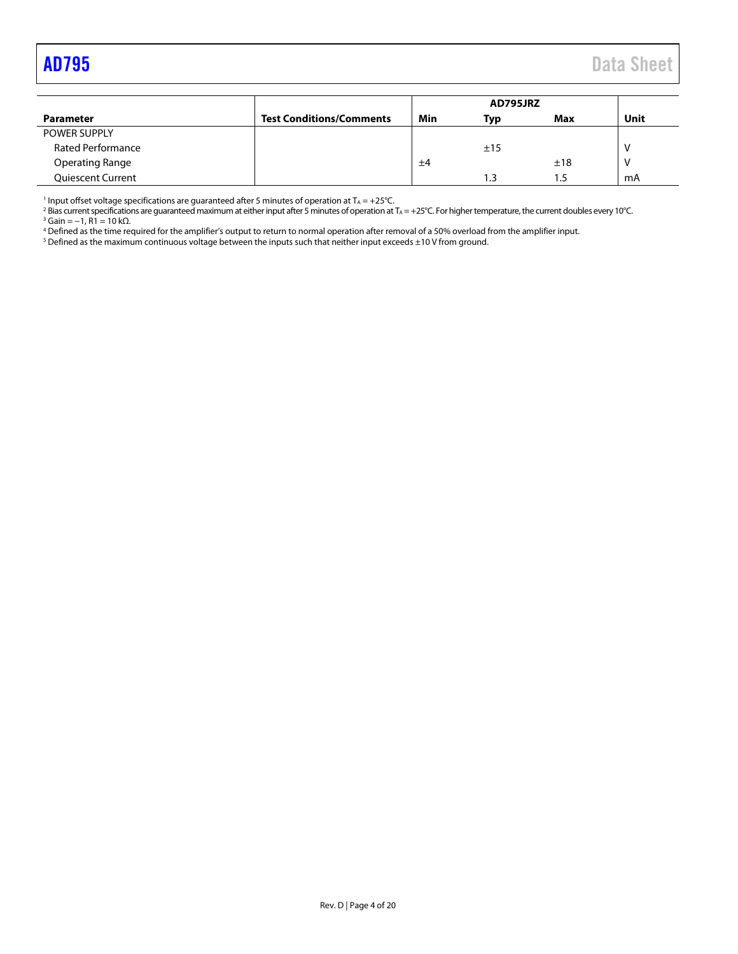<span id="page-3-0"></span>

|                          |                                 | AD795JRZ |     |      |      |
|--------------------------|---------------------------------|----------|-----|------|------|
| <b>Parameter</b>         | <b>Test Conditions/Comments</b> | Min      | Typ | Max  | Unit |
| POWER SUPPLY             |                                 |          |     |      |      |
| <b>Rated Performance</b> |                                 |          | ±15 |      |      |
| <b>Operating Range</b>   |                                 | ±4       |     | ±18  |      |
| <b>Quiescent Current</b> |                                 |          | 1.3 | . .5 | mA   |

<sup>1</sup> Input offset voltage specifications are guaranteed after 5 minutes of operation at  $T_A = +25^{\circ}C$ .

<sup>2</sup> Bias current specifications are guaranteed maximum at either input after 5 minutes of operation at T<sub>A</sub> = +25°C. For higher temperature, the current doubles every 10°C. <sup>3</sup> Gain = −1, R1 = 10 kΩ.

<sup>4</sup> Defined as the time required for the amplifier's output to return to normal operation after removal of a 50% overload from the amplifier input.

 $^5$  Defined as the maximum continuous voltage between the inputs such that neither input exceeds  $\pm 10$  V from ground.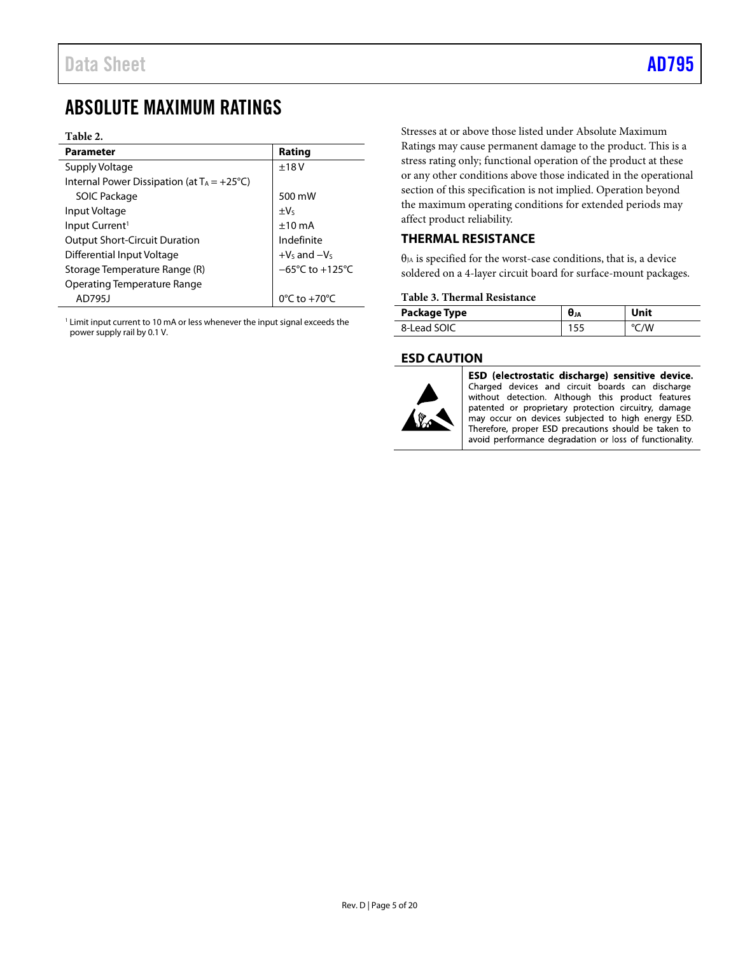## <span id="page-4-0"></span>ABSOLUTE MAXIMUM RATINGS

### **Table 2.**

| <b>Parameter</b>                                      | Rating                               |
|-------------------------------------------------------|--------------------------------------|
| Supply Voltage                                        | ±18V                                 |
| Internal Power Dissipation (at $T_A = +25^{\circ}C$ ) |                                      |
| <b>SOIC Package</b>                                   | 500 mW                               |
| Input Voltage                                         | $\pm V_5$                            |
| Input Current <sup>1</sup>                            | $±10$ mA                             |
| <b>Output Short-Circuit Duration</b>                  | Indefinite                           |
| Differential Input Voltage                            | $+V_s$ and $-V_s$                    |
| Storage Temperature Range (R)                         | $-65^{\circ}$ C to +125 $^{\circ}$ C |
| <b>Operating Temperature Range</b>                    |                                      |
| AD7951                                                | $0^{\circ}$ C to $+70^{\circ}$ C     |

<sup>1</sup> Limit input current to 10 mA or less whenever the input signal exceeds the power supply rail by 0.1 V.

Stresses at or above those listed under Absolute Maximum Ratings may cause permanent damage to the product. This is a stress rating only; functional operation of the product at these or any other conditions above those indicated in the operational section of this specification is not implied. Operation beyond the maximum operating conditions for extended periods may affect product reliability.

## <span id="page-4-1"></span>**THERMAL RESISTANCE**

θJA is specified for the worst-case conditions, that is, a device soldered on a 4-layer circuit board for surface-mount packages.

### **Table 3. Thermal Resistance**

| Package Type | UJA | Unit |
|--------------|-----|------|
| 8-Lead SOIC  | ـ ب |      |

## <span id="page-4-2"></span>**ESD CAUTION**



ESD (electrostatic discharge) sensitive device. Charged devices and circuit boards can discharge without detection. Although this product features patented or proprietary protection circuitry, damage may occur on devices subjected to high energy ESD. Therefore, proper ESD precautions should be taken to avoid performance degradation or loss of functionality.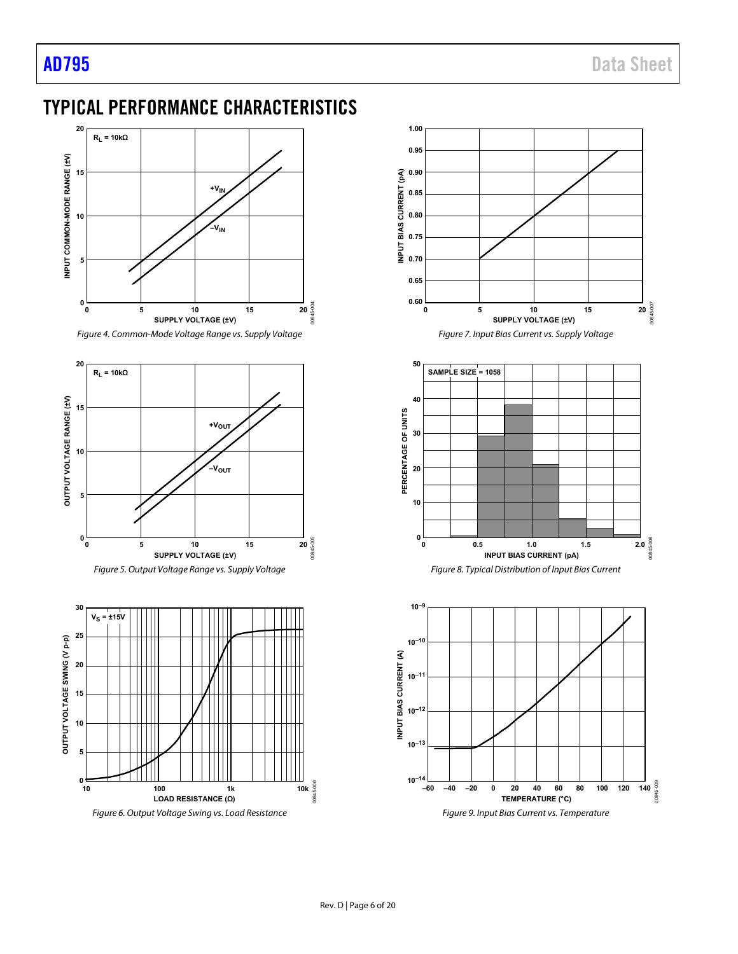## <span id="page-5-0"></span>TYPICAL PERFORMANCE CHARACTERISTICS









Figure 6. Output Voltage Swing vs. Load Resistance

<span id="page-5-2"></span>

<span id="page-5-1"></span>Figure 9. Input Bias Current vs. Temperature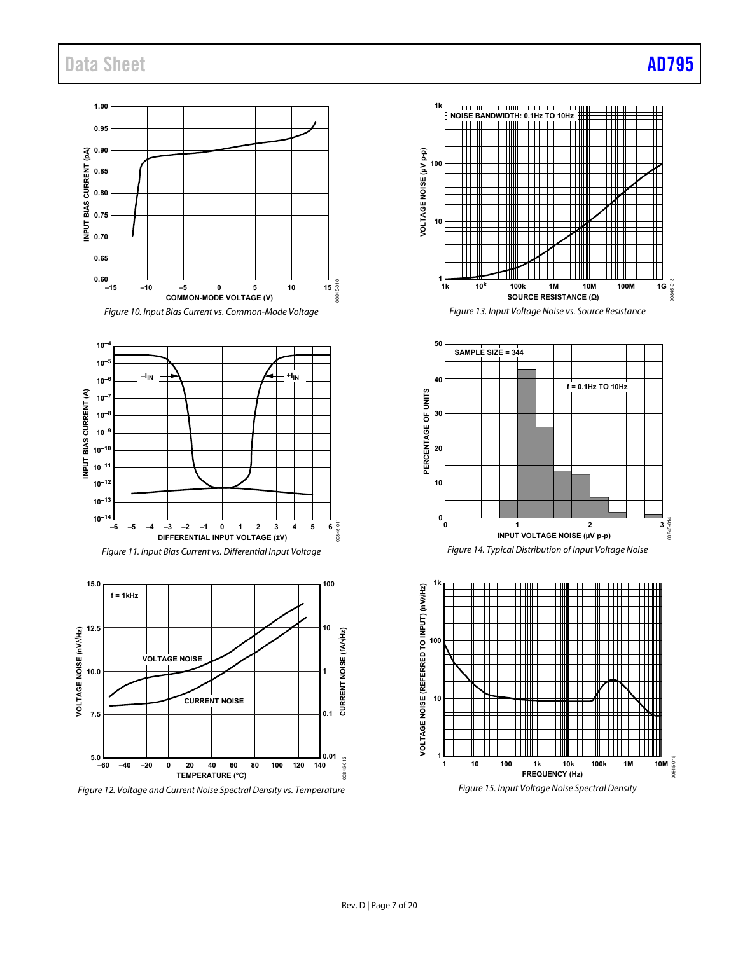## Data Sheet **[AD795](https://www.analog.com/AD795?doc=AD795.pdf)**





**FREQUENCY (Hz)**

00845-015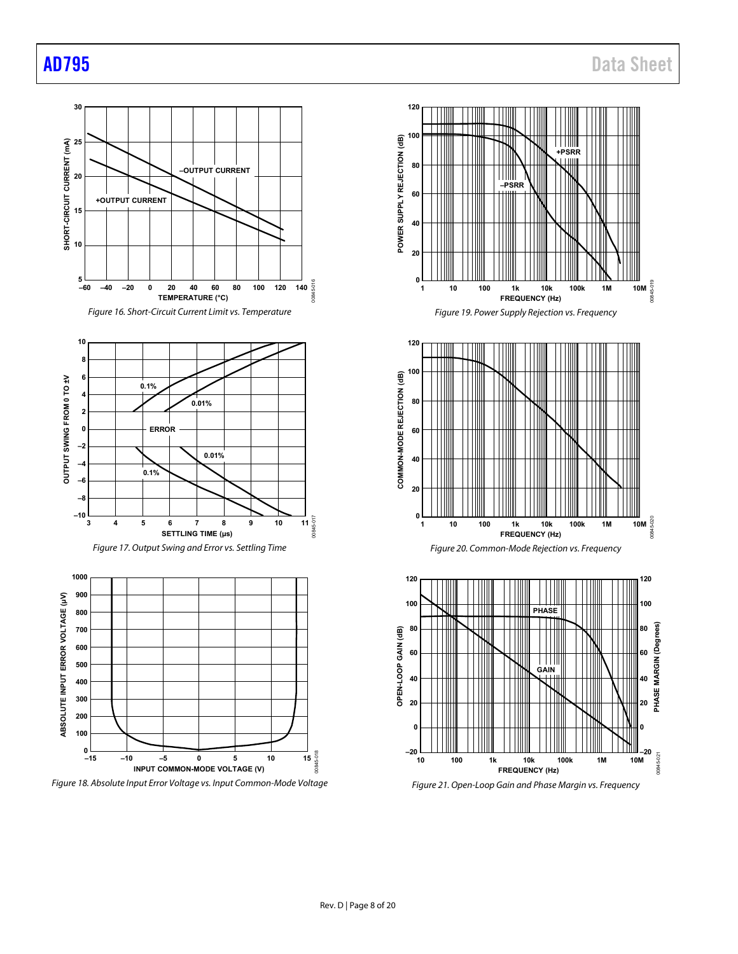

Figure 18. Absolute Input Error Voltage vs. Input Common-Mode Voltage





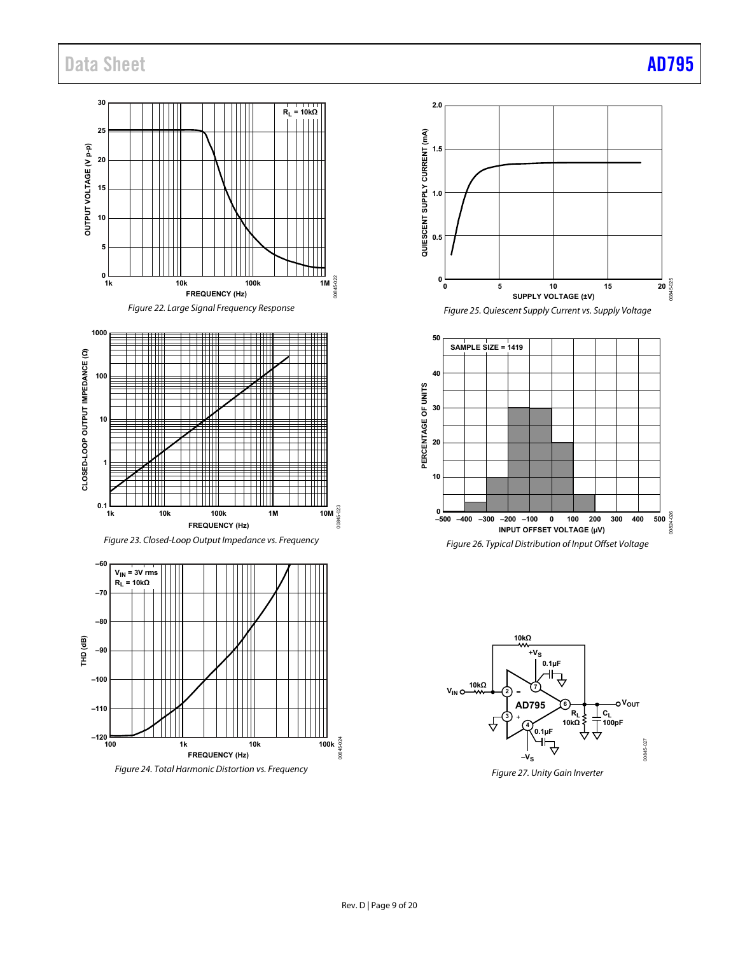## Data Sheet **[AD795](https://www.analog.com/AD795?doc=AD795.pdf)**

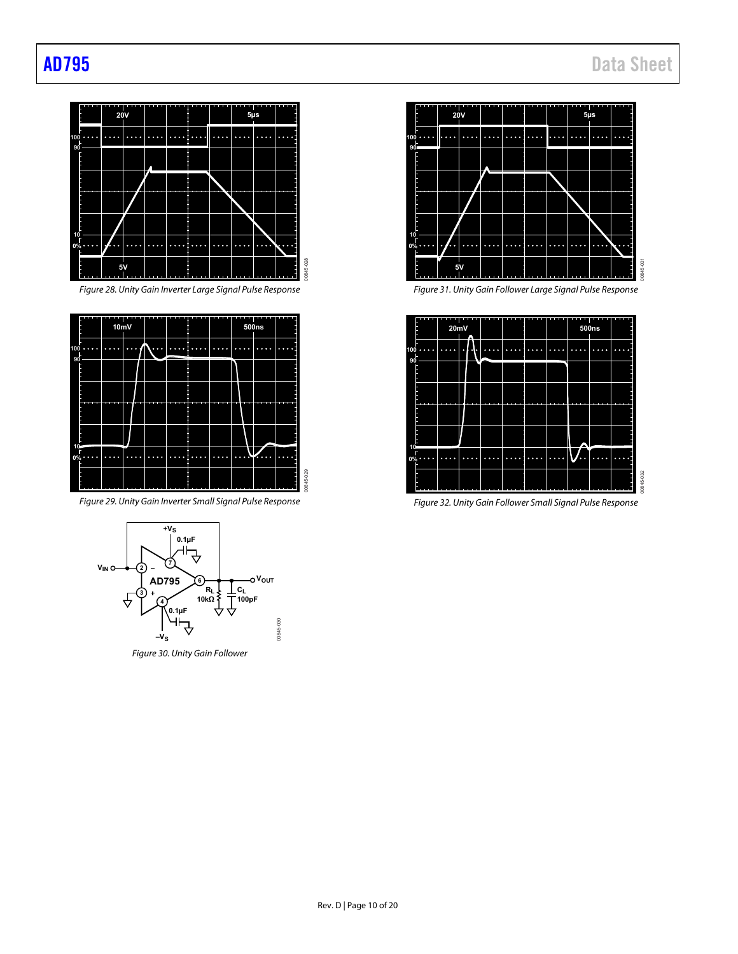

Figure 28. Unity Gain Inverter Large Signal Pulse Response



Figure 29. Unity Gain Inverter Small Signal Pulse Response



Figure 30. Unity Gain Follower



Figure 31. Unity Gain Follower Large Signal Pulse Response



Figure 32. Unity Gain Follower Small Signal Pulse Response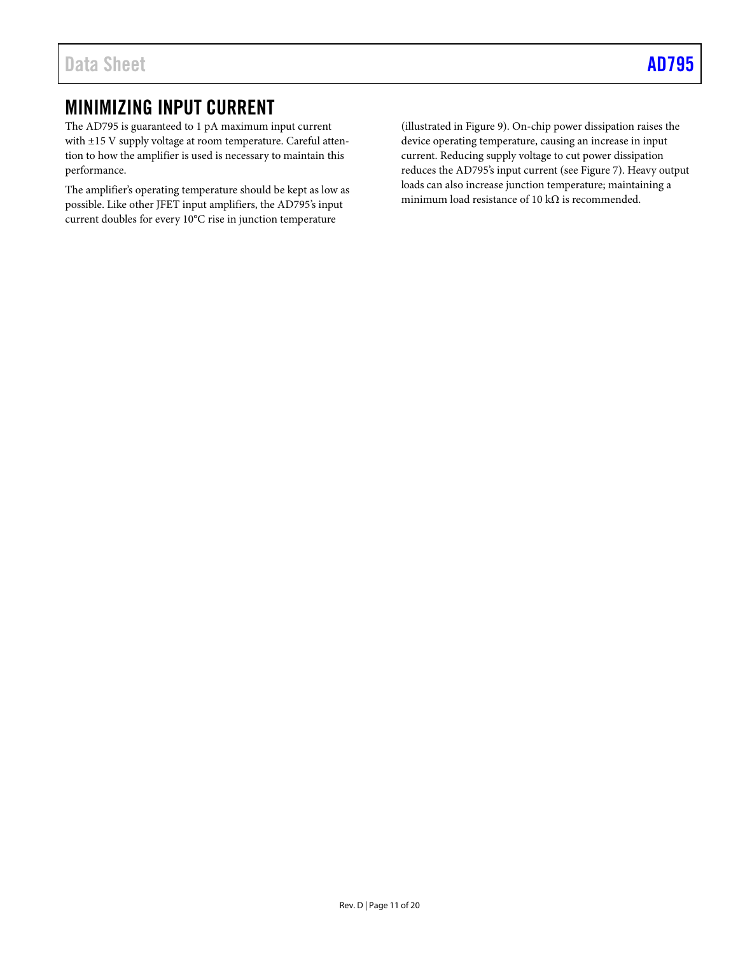## <span id="page-10-0"></span>MINIMIZING INPUT CURRENT

The AD795 is guaranteed to 1 pA maximum input current with ±15 V supply voltage at room temperature. Careful attention to how the amplifier is used is necessary to maintain this performance.

The amplifier's operating temperature should be kept as low as possible. Like other JFET input amplifiers, the AD795's input current doubles for every 10°C rise in junction temperature

(illustrated i[n Figure 9\)](#page-5-1). On-chip power dissipation raises the device operating temperature, causing an increase in input current. Reducing supply voltage to cut power dissipation reduces the AD795's input current (see [Figure 7\)](#page-5-2). Heavy output loads can also increase junction temperature; maintaining a minimum load resistance of 10 k $\Omega$  is recommended.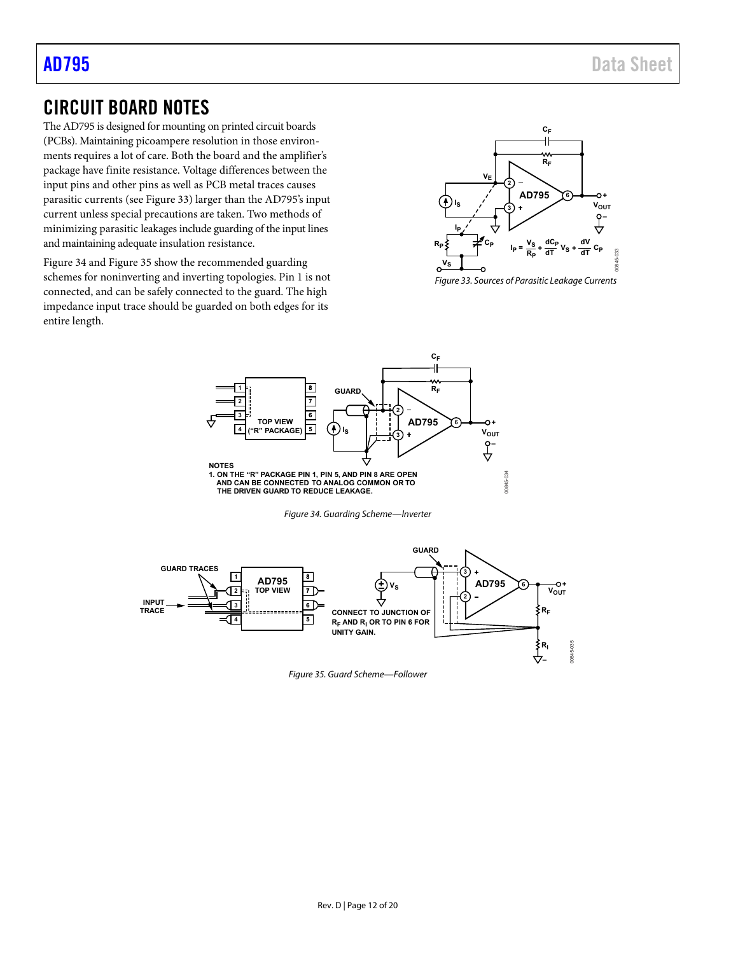## <span id="page-11-0"></span>CIRCUIT BOARD NOTES

The AD795 is designed for mounting on printed circuit boards (PCBs). Maintaining picoampere resolution in those environments requires a lot of care. Both the board and the amplifier's package have finite resistance. Voltage differences between the input pins and other pins as well as PCB metal traces causes parasitic currents (see [Figure 33\)](#page-11-1) larger than the AD795's input current unless special precautions are taken. Two methods of minimizing parasitic leakages include guarding of the input lines and maintaining adequate insulation resistance.

[Figure 34 a](#page-11-2)nd [Figure 35 s](#page-11-3)how the recommended guarding schemes for noninverting and inverting topologies. Pin 1 is not connected, and can be safely connected to the guard. The high impedance input trace should be guarded on both edges for its entire length.



<span id="page-11-1"></span>Figure 33. Sources of Parasitic Leakage Currents



Figure 34. Guarding Scheme—lnverter

<span id="page-11-3"></span><span id="page-11-2"></span>

Figure 35. Guard Scheme—Follower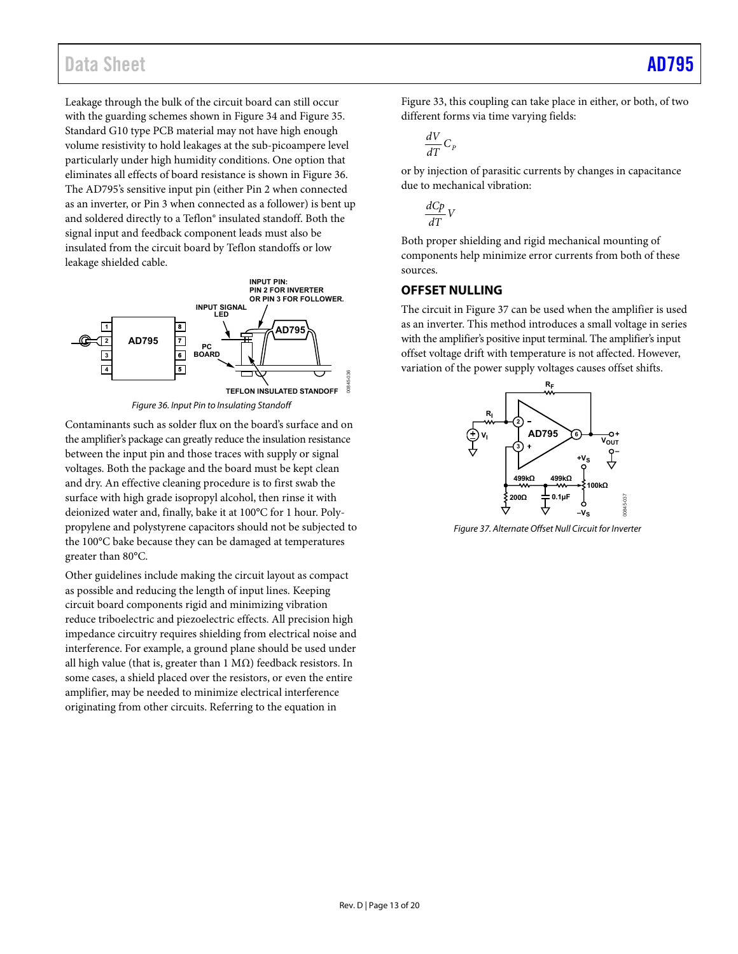## Data Sheet [AD795](https://www.analog.com/AD795?doc=AD795.pdf)

Leakage through the bulk of the circuit board can still occur with the guarding schemes shown i[n Figure 34](#page-11-2) and [Figure 35.](#page-11-3)  Standard G10 type PCB material may not have high enough volume resistivity to hold leakages at the sub-picoampere level particularly under high humidity conditions. One option that eliminates all effects of board resistance is shown in [Figure 36.](#page-12-1)  The AD795's sensitive input pin (either Pin 2 when connected as an inverter, or Pin 3 when connected as a follower) is bent up and soldered directly to a Teflon® insulated standoff. Both the signal input and feedback component leads must also be insulated from the circuit board by Teflon standoffs or low leakage shielded cable.



Figure 36. Input Pin to Insulating Standoff

<span id="page-12-1"></span>Contaminants such as solder flux on the board's surface and on the amplifier's package can greatly reduce the insulation resistance between the input pin and those traces with supply or signal voltages. Both the package and the board must be kept clean and dry. An effective cleaning procedure is to first swab the surface with high grade isopropyl alcohol, then rinse it with deionized water and, finally, bake it at 100°C for 1 hour. Polypropylene and polystyrene capacitors should not be subjected to the 100°C bake because they can be damaged at temperatures greater than 80°C.

Other guidelines include making the circuit layout as compact as possible and reducing the length of input lines. Keeping circuit board components rigid and minimizing vibration reduce triboelectric and piezoelectric effects. All precision high impedance circuitry requires shielding from electrical noise and interference. For example, a ground plane should be used under all high value (that is, greater than  $1 \text{ M}\Omega$ ) feedback resistors. In some cases, a shield placed over the resistors, or even the entire amplifier, may be needed to minimize electrical interference originating from other circuits. Referring to the equation in

[Figure 33,](#page-11-1) this coupling can take place in either, or both, of two different forms via time varying fields:

$$
\frac{dV}{dT}C_{P}
$$

or by injection of parasitic currents by changes in capacitance due to mechanical vibration:

$$
\frac{dCp}{dT}V
$$

Both proper shielding and rigid mechanical mounting of components help minimize error currents from both of these sources.

## <span id="page-12-0"></span>**OFFSET NULLING**

The circuit i[n Figure 37](#page-12-2) can be used when the amplifier is used as an inverter. This method introduces a small voltage in series with the amplifier's positive input terminal. The amplifier's input offset voltage drift with temperature is not affected. However, variation of the power supply voltages causes offset shifts.



<span id="page-12-2"></span>Figure 37. Alternate Offset Null Circuit for Inverter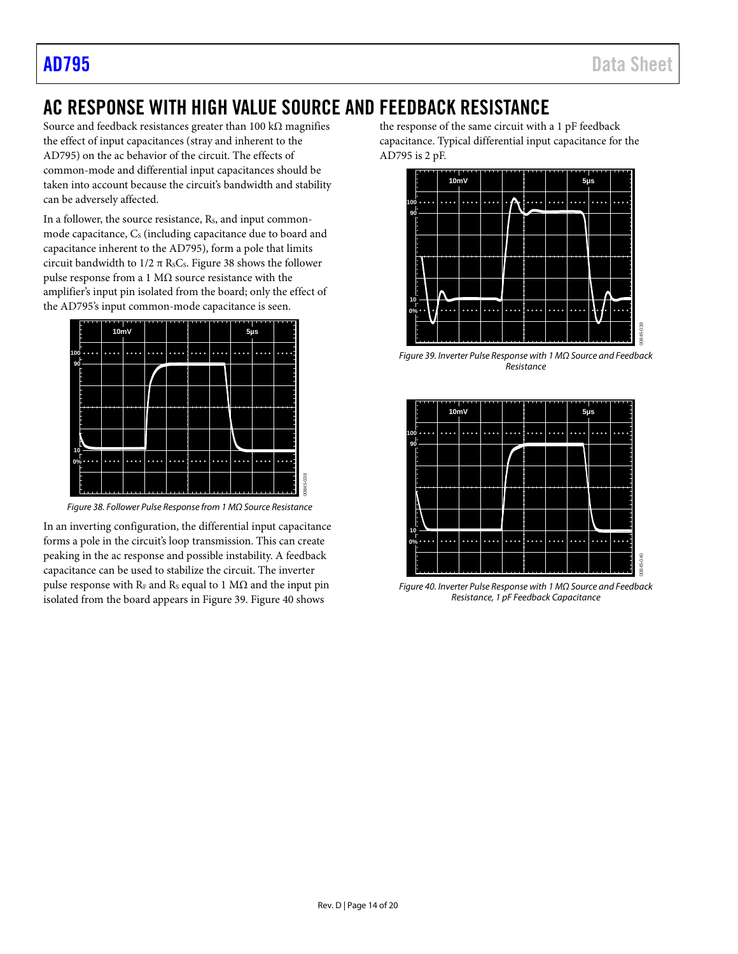# <span id="page-13-0"></span>AC RESPONSE WITH HIGH VALUE SOURCE AND FEEDBACK RESISTANCE

00845-038

Source and feedback resistances greater than 100 k $\Omega$  magnifies the effect of input capacitances (stray and inherent to the AD795) on the ac behavior of the circuit. The effects of common-mode and differential input capacitances should be taken into account because the circuit's bandwidth and stability can be adversely affected.

In a follower, the source resistance, Rs, and input commonmode capacitance,  $C<sub>s</sub>$  (including capacitance due to board and capacitance inherent to the AD795), form a pole that limits circuit bandwidth to  $1/2 \pi$  RsCs. [Figure 38](#page-13-1) shows the follower pulse response from a 1 MΩ source resistance with the amplifier's input pin isolated from the board; only the effect of the AD795's input common-mode capacitance is seen.



*Figure 38. Follower Pulse Response from 1 MΩ Source Resistance*

<span id="page-13-1"></span>In an inverting configuration, the differential input capacitance forms a pole in the circuit's loop transmission. This can create peaking in the ac response and possible instability. A feedback capacitance can be used to stabilize the circuit. The inverter pulse response with  $R_F$  and  $R_S$  equal to 1 M $\Omega$  and the input pin isolated from the board appears in [Figure 39.](#page-13-2) [Figure 40](#page-13-3) shows

the response of the same circuit with a 1 pF feedback capacitance. Typical differential input capacitance for the AD795 is 2 pF.



<span id="page-13-2"></span>*Figure 39. Inverter Pulse Response with 1 MΩ Source and Feedback Resistance*



<span id="page-13-3"></span>*Figure 40. Inverter Pulse Response with 1 MΩ Source and Feedback Resistance, 1 pF Feedback Capacitance*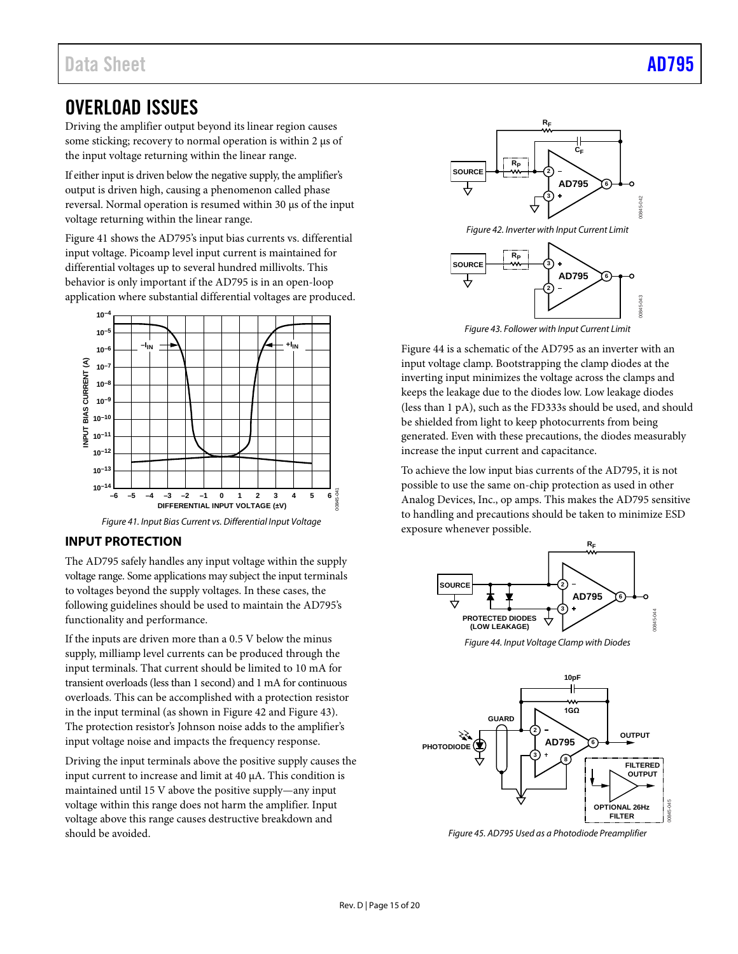## <span id="page-14-0"></span>OVERLOAD ISSUES

Driving the amplifier output beyond its linear region causes some sticking; recovery to normal operation is within 2  $\mu$ s of the input voltage returning within the linear range.

If either input is driven below the negative supply, the amplifier's output is driven high, causing a phenomenon called phase reversal. Normal operation is resumed within 30 µs of the input voltage returning within the linear range.

[Figure 41](#page-14-2) shows the AD795's input bias currents vs. differential input voltage. Picoamp level input current is maintained for differential voltages up to several hundred millivolts. This behavior is only important if the AD795 is in an open-loop application where substantial differential voltages are produced.



*Figure 41. Input Bias Current vs. Differential Input Voltage*

## <span id="page-14-2"></span><span id="page-14-1"></span>**INPUT PROTECTION**

The AD795 safely handles any input voltage within the supply voltage range. Some applications may subject the input terminals to voltages beyond the supply voltages. In these cases, the following guidelines should be used to maintain the AD795's functionality and performance.

If the inputs are driven more than a 0.5 V below the minus supply, milliamp level currents can be produced through the input terminals. That current should be limited to 10 mA for transient overloads (less than 1 second) and 1 mA for continuous overloads. This can be accomplished with a protection resistor in the input terminal (as shown i[n Figure 42](#page-14-3) an[d Figure 43\)](#page-14-4). The protection resistor's Johnson noise adds to the amplifier's input voltage noise and impacts the frequency response.

Driving the input terminals above the positive supply causes the input current to increase and limit at 40 µA. This condition is maintained until 15 V above the positive supply—any input voltage within this range does not harm the amplifier. Input voltage above this range causes destructive breakdown and should be avoided.



*Figure 42. Inverter with Input Current Limit*

<span id="page-14-3"></span>

*Figure 43. Follower with Input Current Limit*

<span id="page-14-4"></span>[Figure 44](#page-14-5) is a schematic of the AD795 as an inverter with an input voltage clamp. Bootstrapping the clamp diodes at the inverting input minimizes the voltage across the clamps and keeps the leakage due to the diodes low. Low leakage diodes (less than 1 pA), such as the FD333s should be used, and should be shielded from light to keep photocurrents from being generated. Even with these precautions, the diodes measurably increase the input current and capacitance.

To achieve the low input bias currents of the AD795, it is not possible to use the same on-chip protection as used in other Analog Devices, Inc., op amps. This makes the AD795 sensitive to handling and precautions should be taken to minimize ESD exposure whenever possible.



*Figure 44. Input Voltage Clamp with Diodes*

<span id="page-14-5"></span>

<span id="page-14-6"></span>*Figure 45. AD795 Used as a Photodiode Preamplifier*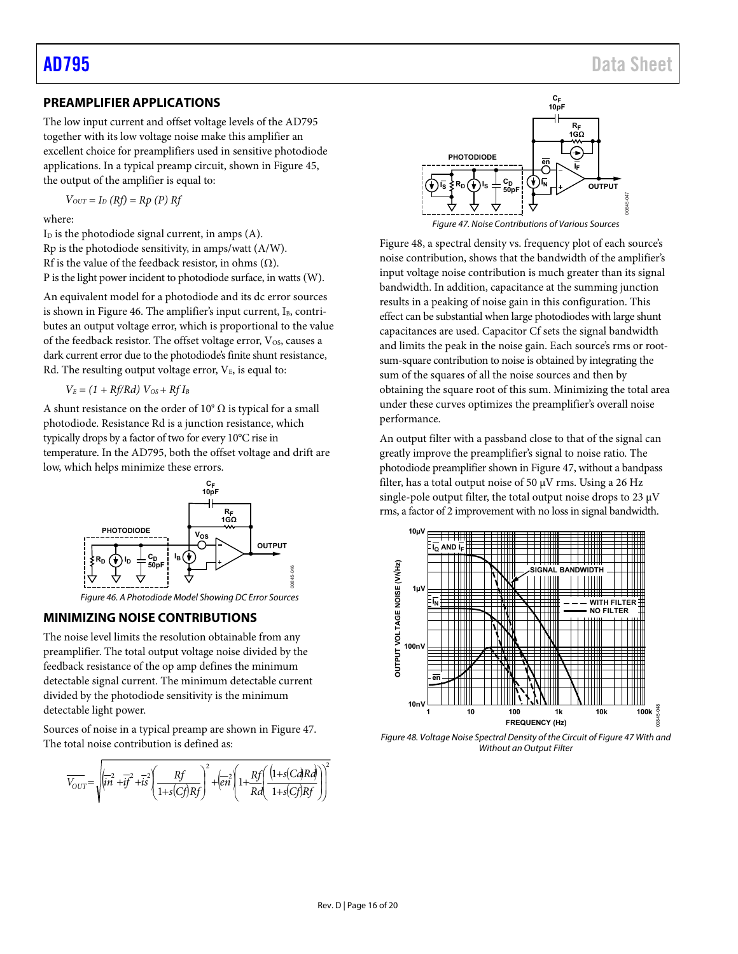## <span id="page-15-1"></span>**PREAMPLIFIER APPLICATIONS**

The low input current and offset voltage levels of the AD795 together with its low voltage noise make this amplifier an excellent choice for preamplifiers used in sensitive photodiode applications. In a typical preamp circuit, shown in [Figure 45,](#page-14-6)  the output of the amplifier is equal to:

$$
V_{OUT} = I_D (Rf) = Rp (P) Rf
$$

where:

 $I<sub>D</sub>$  is the photodiode signal current, in amps  $(A)$ . Rp is the photodiode sensitivity, in amps/watt (A/W). Rf is the value of the feedback resistor, in ohms  $(Ω)$ . P is the light power incident to photodiode surface, in watts (W).

An equivalent model for a photodiode and its dc error sources is shown in [Figure 46.](#page-15-2) The amplifier's input current,  $I_B$ , contributes an output voltage error, which is proportional to the value of the feedback resistor. The offset voltage error, V<sub>OS</sub>, causes a dark current error due to the photodiode's finite shunt resistance, Rd. The resulting output voltage error,  $V_{E}$ , is equal to:

 $V_E = (1 + Rf/Rd) V_{OS} + RfI_B$ 

A shunt resistance on the order of  $10^9 \Omega$  is typical for a small photodiode. Resistance Rd is a junction resistance, which typically drops by a factor of two for every 10°C rise in temperature. In the AD795, both the offset voltage and drift are low, which helps minimize these errors.



Figure 46. A Photodiode Model Showing DC Error Sources

### <span id="page-15-2"></span><span id="page-15-0"></span>**MINIMIZING NOISE CONTRIBUTIONS**

The noise level limits the resolution obtainable from any preamplifier. The total output voltage noise divided by the feedback resistance of the op amp defines the minimum detectable signal current. The minimum detectable current divided by the photodiode sensitivity is the minimum detectable light power.

Sources of noise in a typical preamp are shown in [Figure 47.](#page-15-3)  The total noise contribution is defined as:

$$
\overline{V_{OUT}} = \sqrt{\left(\overline{i}\overline{n}^2 + \overline{i}\overline{f}^2 + \overline{i}\overline{s}^2\right)\left(\frac{Rf}{1 + s(Cf)Rf}\right)^2 + \left(\overline{e}\overline{n}\right)^2 \left(1 + \frac{Rf}{Rd}\left(\frac{(1 + s(C\overline{d})R\overline{d})}{1 + s(Cf)Rf}\right)\right)^2}
$$



<span id="page-15-3"></span>[Figure 48,](#page-15-4) a spectral density vs. frequency plot of each source's noise contribution, shows that the bandwidth of the amplifier's input voltage noise contribution is much greater than its signal bandwidth. In addition, capacitance at the summing junction results in a peaking of noise gain in this configuration. This effect can be substantial when large photodiodes with large shunt capacitances are used. Capacitor Cf sets the signal bandwidth and limits the peak in the noise gain. Each source's rms or rootsum-square contribution to noise is obtained by integrating the sum of the squares of all the noise sources and then by obtaining the square root of this sum. Minimizing the total area under these curves optimizes the preamplifier's overall noise performance.

An output filter with a passband close to that of the signal can greatly improve the preamplifier's signal to noise ratio. The photodiode preamplifier shown i[n Figure 47,](#page-15-3) without a bandpass filter, has a total output noise of 50 μV rms. Using a 26 Hz single-pole output filter, the total output noise drops to 23 μV rms, a factor of 2 improvement with no loss in signal bandwidth.



<span id="page-15-4"></span>Figure 48. Voltage Noise Spectral Density of the Circuit o[f Figure 47 W](#page-15-3)ith and Without an Output Filter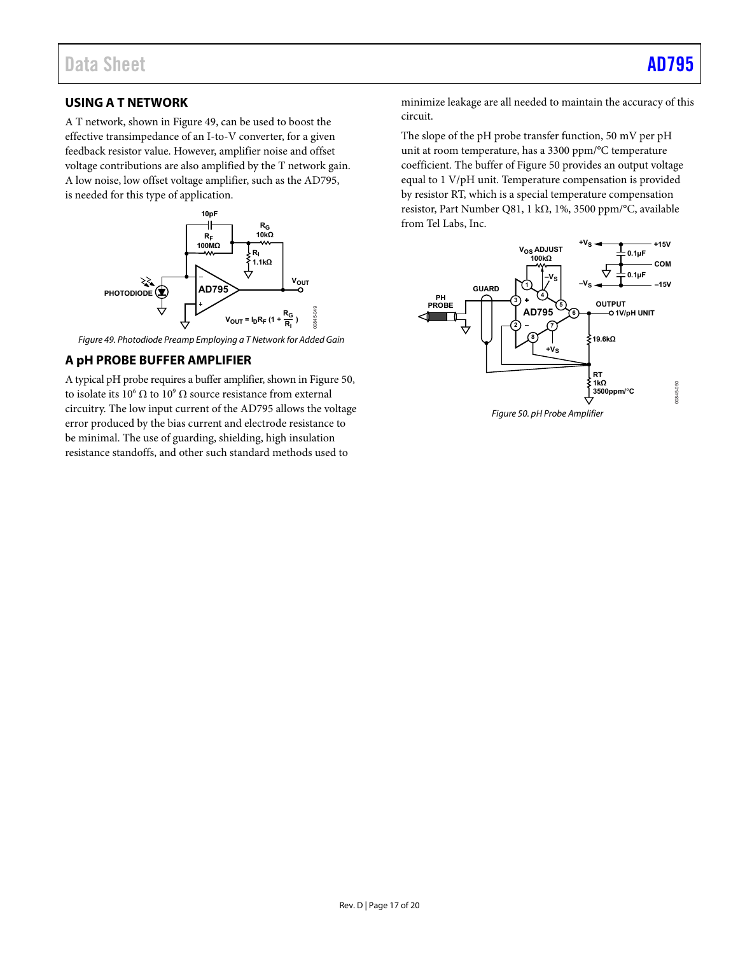## <span id="page-16-1"></span>**USING A T NETWORK**

A T network, shown i[n Figure 49,](#page-16-2) can be used to boost the effective transimpedance of an I-to-V converter, for a given feedback resistor value. However, amplifier noise and offset voltage contributions are also amplified by the T network gain. A low noise, low offset voltage amplifier, such as the AD795, is needed for this type of application.



<span id="page-16-2"></span>Figure 49. Photodiode Preamp Employing a T Network for Added Gain

## <span id="page-16-0"></span>**A pH PROBE BUFFER AMPLIFIER**

A typical pH probe requires a buffer amplifier, shown i[n Figure 50,](#page-16-3)  to isolate its  $10^6 \Omega$  to  $10^9 \Omega$  source resistance from external circuitry. The low input current of the AD795 allows the voltage error produced by the bias current and electrode resistance to be minimal. The use of guarding, shielding, high insulation resistance standoffs, and other such standard methods used to

minimize leakage are all needed to maintain the accuracy of this circuit.

The slope of the pH probe transfer function, 50 mV per pH unit at room temperature, has a 3300 ppm/°C temperature coefficient. The buffer of [Figure 50 p](#page-16-3)rovides an output voltage equal to 1 V/pH unit. Temperature compensation is provided by resistor RT, which is a special temperature compensation resistor, Part Number Q81, 1 kΩ, 1%, 3500 ppm/°C, available from Tel Labs, Inc.



<span id="page-16-3"></span>Figure 50. pH Probe Amplifier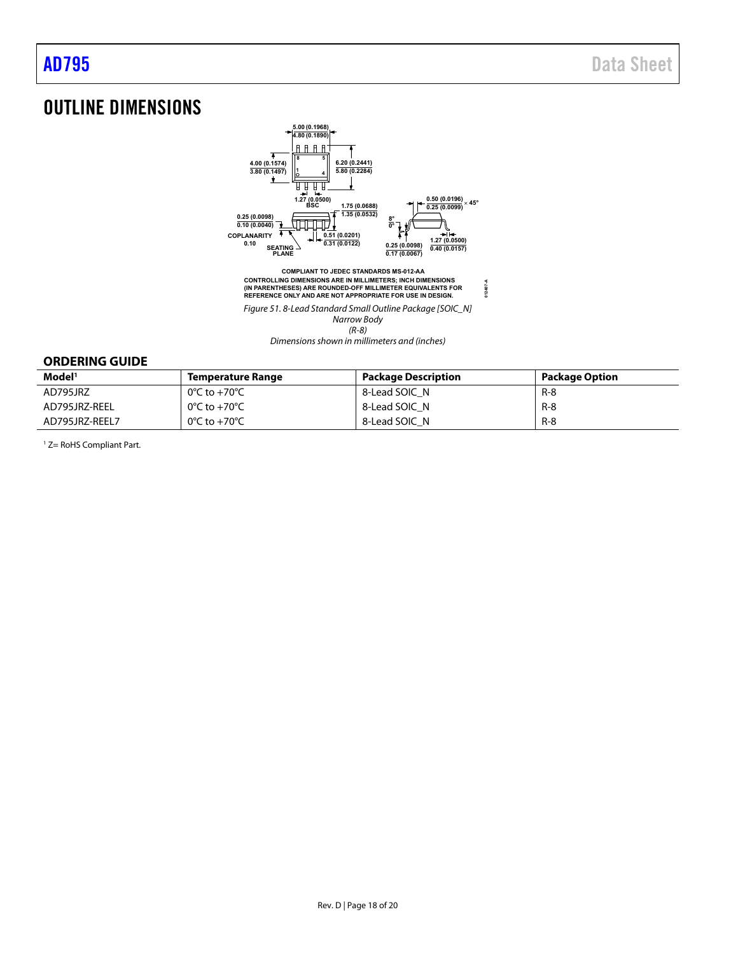# <span id="page-17-0"></span>OUTLINE DIMENSIONS



Dimensions shown in millimeters and (inches)

## <span id="page-17-1"></span>**ORDERING GUIDE**

| Model <sup>1</sup> | <b>Temperature Range</b>          | <b>Package Description</b> | <b>Package Option</b> |
|--------------------|-----------------------------------|----------------------------|-----------------------|
| AD795JRZ           | 0°C to +70°C                      | 8-Lead SOIC N              | $R - 8$               |
| AD795JRZ-REEL      | 0°C to +70°C                      | 8-Lead SOIC N              | $R - 8$               |
| AD795JRZ-REEL7     | $0^{\circ}$ C to +70 $^{\circ}$ C | 8-Lead SOIC N              | $R-8$                 |

<sup>1</sup> Z= RoHS Compliant Part.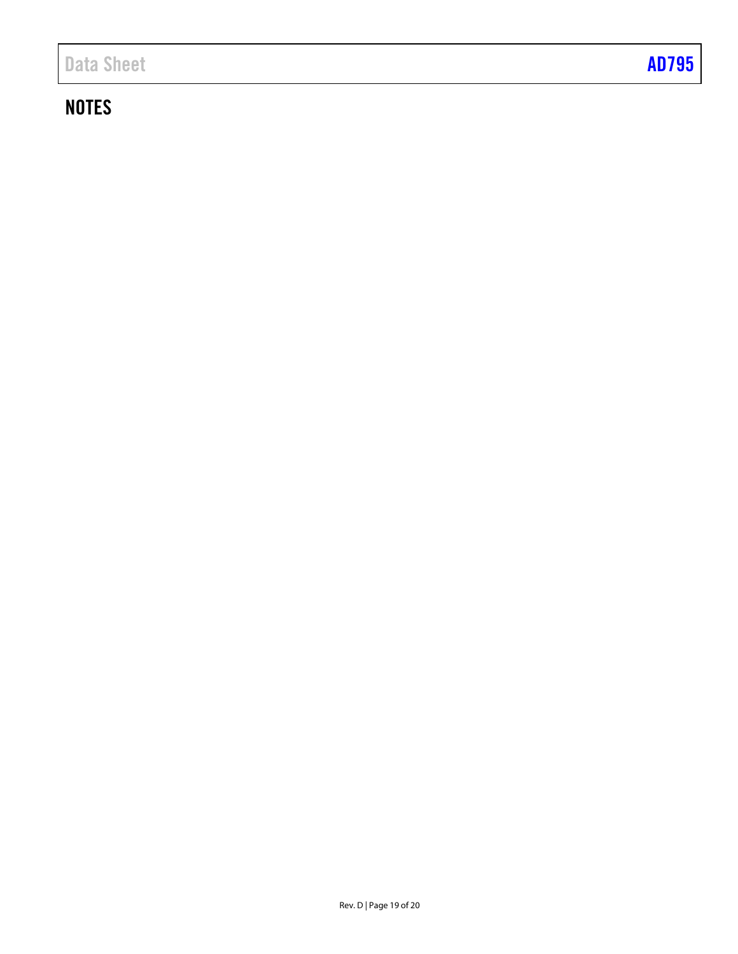# **NOTES**